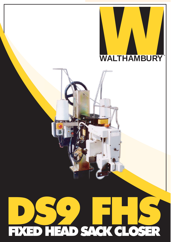